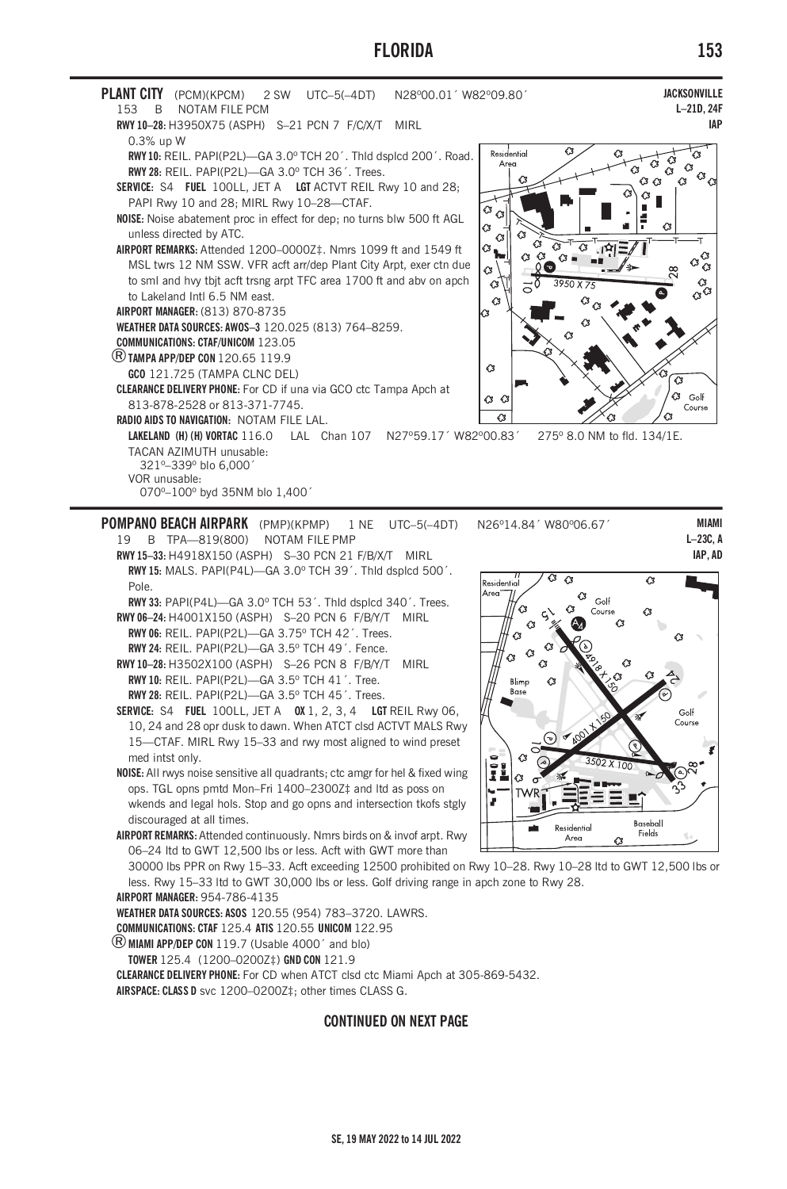# **FLORIDA**



POMPANO BEACH AIRPARK (PMP)(KPMP) 1 NF UTC-5(-4DT) 19 B TPA-819(800) NOTAM FILE PMP

RWY 15-33: H4918X150 (ASPH) S-30 PCN 21 F/B/X/T MIRL RWY 15: MALS. PAPI(P4L)-GA 3.0° TCH 39'. Thid dsplcd 500'. Pole.

RWY 33: PAPI(P4L)-GA 3.0° TCH 53'. Thid dsplcd 340'. Trees. RWY 06-24: H4001X150 (ASPH) S-20 PCN 6 F/B/Y/T MIRL

RWY 06: REIL. PAPI(P2L)-GA 3.75° TCH 42'. Trees. RWY 24: REIL. PAPI(P2L)-GA 3.5° TCH 49'. Fence. RWY 10-28: H3502X100 (ASPH) S-26 PCN 8 F/B/Y/T MIRL

RWY 10: REIL. PAPI(P2L)-GA 3.5° TCH 41'. Tree. RWY 28: REIL. PAPI(P2L)-GA 3.5° TCH 45'. Trees.

SERVICE: S4 FUEL 100LL, JET A 0X 1, 2, 3, 4 LGT REIL Rwy 06, 10, 24 and 28 opr dusk to dawn. When ATCT clsd ACTVT MALS Rwy 15-CTAF. MIRL Rwy 15-33 and rwy most aligned to wind preset med intst only

NOISE: All rwys noise sensitive all quadrants; ctc amgr for hel & fixed wing ops. TGL opns pmtd Mon-Fri 1400-2300Z‡ and Itd as poss on wkends and legal hols. Stop and go opns and intersection tkofs stgly discouraged at all times.

AIRPORT REMARKS: Attended continuously. Nmrs birds on & invof arpt. Rwy 06-24 ltd to GWT 12,500 lbs or less. Acft with GWT more than

//<br>esidential  $\sqrt{3}$ Golf  $\alpha$ ∼ Course  $\alpha$ ò Ω  $\alpha$ Blimp  $\alpha$ Bose Golf Course

 $\overline{G}$ 



30000 lbs PPR on Rwy 15-33. Acft exceeding 12500 prohibited on Rwy 10-28. Rwy 10-28 ltd to GWT 12,500 lbs or less. Rwy 15-33 ltd to GWT 30,000 lbs or less. Golf driving range in apch zone to Rwy 28.

AIRPORT MANAGER 954-786-4135

WEATHER DATA SOURCES: ASOS 120.55 (954) 783-3720. LAWRS.

**COMMUNICATIONS: CTAF 125.4 ATIS 120.55 UNICOM 122.95** 

**B** MIAMI APP/DEP CON 119.7 (Usable 4000' and blo)

TOWER 125.4 (1200-0200Z‡) GND CON 121.9 CLEARANCE DELIVERY PHONE: For CD when ATCT clsd ctc Miami Apch at 305-869-5432. AIRSPACE: CLASS D svc 1200-0200Z‡; other times CLASS G.

### **CONTINUED ON NEXT PAGE**

 $I-23C$  A

**IAP.AD** 

 $\sqrt{3}$